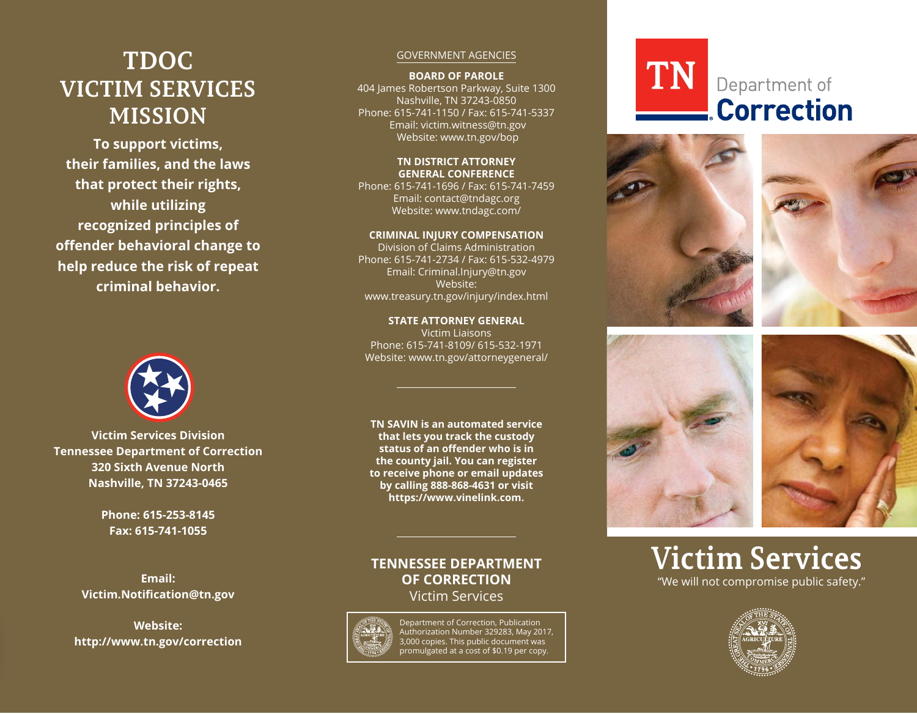# **TDOC VICTIM SERVICES MISSION**

**To support victims,** their families, and the laws **that protect their rights, while utilizing** recognized principles of **offender behavioral change to help reduce the risk of repeat criminal behavior.**



**Victim Services Division Tennessee Department of Correction 320 Sixth Avenue North Nashville, TN 37243-0465**

> **Phone: 615-253-8145 Fax: 615-741-1055**

**Email: Victim.Notification@tn.gov** 

**Website:** http://www.tn.gov/correction

#### GOVERNMENT AGENCIES

**BOARD OF PAROLE**

404 James Robertson Parkway, Suite 1300 Nashville, TN 37243-0850 Phone: 615-741-1150 / Fax: 615-741-5337 Email: victim.witness@tn.gov Website: www.tn.gov/bop

#### **TN DISTRICT ATTORNEY GENERAL CONFERENCE**

Phone: 615-741-1696 / Fax: 615-741-7459 Email: contact@tndagc.org Website: www.tndagc.com/

#### **CRIMINAL INJURY COMPENSATION**

Division of Claims Administration Phone: 615-741-2734 / Fax: 615-532-4979 Email: Criminal.Injury@tn.gov Website: www.treasury.tn.gov/injury/index.html

**STATE ATTORNEY GENERAL** Victim Liaisons Phone: 615-741-8109/ 615-532-1971 Website: www.tn.gov/attorneygeneral/

**TN SAVIN is an automated service that lets you track the custody** status of an offender who is in **the county jail. You can register to receive phone or email updates by calling 888-868-4631 or visit** https://www.vinelink.com.

## **TENNESSEE DEPARTMENT OF CORRECTION** Victim Services



Department of Correction, Publication Authorization Number 329283, May 2017, 3,000 copies. This public document was promulgated at a cost of \$0.19 per copy.

# **TN** Department of **Correction**









# **Victim Services** "We will not compromise public safety."